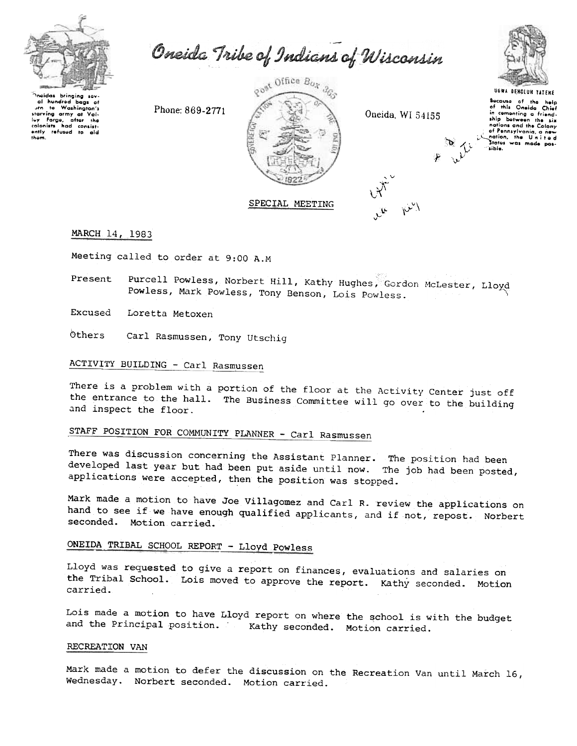

Oneida Tribe of Indians of Wisconsin



ineidas bringing sev-<br>I al hundred bags of<br>Jrn to Washington's starving army at Val-<br>ley Forge, after the<br>colonists had consistrefused to aid them.

Phone: 869-2771



Oneida, WI 54155

**UGWA DENOLUN YATENE** Secause of the help<br>of this Oneida Chief in cementing a friendnations and the Colony nations and the concern<br>of Pennsylvania, a new<br>nation, the United<br>States was made pos-

sible.

MARCH 14, 1983

Meeting called to order at 9:00 A.M

Purcell Powless, Norbert Hill, Kathy Hughes, Gordon McLester, Lloyd Present Powless, Mark Powless, Tony Benson, Lois Powless.

Excused Loretta Metoxen

Others Carl Rasmussen, Tony Utschig

## ACTIVITY BUILDING - Carl Rasmussen

There is a problem with a portion of the floor at the Activity Center just off the entrance to the hall. The Business Committee will go over to the building and inspect the floor.

# STAFF POSITION FOR COMMUNITY PLANNER - Carl Rasmussen

There was discussion concerning the Assistant Planner. The position had been developed last year but had been put aside until now. The job had been posted, applications were accepted, then the position was stopped.

Mark made a motion to have Joe Villagomez and Carl R. review the applications on hand to see if we have enough qualified applicants, and if not, repost. Norbert seconded. Motion carried.

# ONEIDA TRIBAL SCHOOL REPORT - Lloyd Powless

Lloyd was requested to give a report on finances, evaluations and salaries on the Tribal School. Lois moved to approve the report. Kathy seconded. Motion carried.

Lois made a motion to have Lloyd report on where the school is with the budget and the Principal position. Kathy seconded. Motion carried.

#### RECREATION VAN

Mark made a motion to defer the discussion on the Recreation Van until March 16, Wednesday. Norbert seconded. Motion carried.